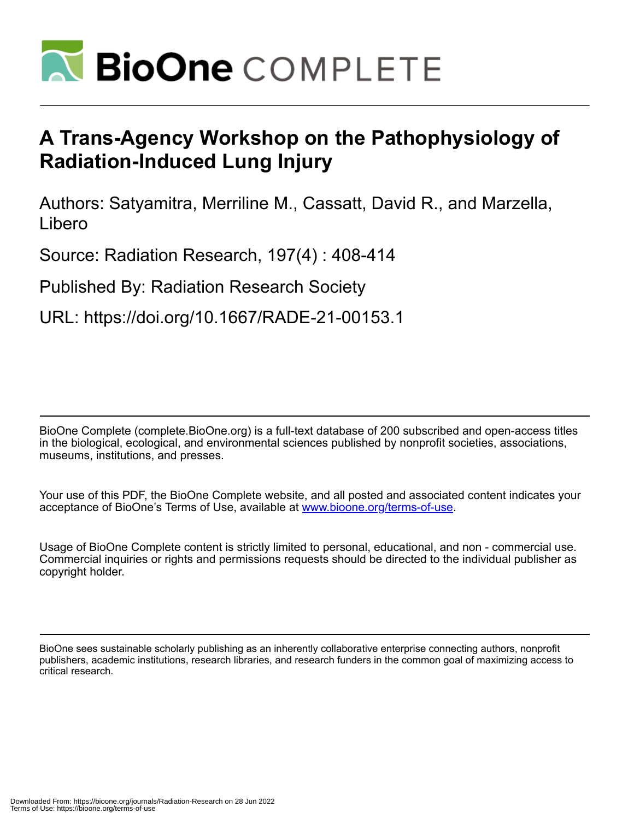

# **A Trans-Agency Workshop on the Pathophysiology of Radiation-Induced Lung Injury**

Authors: Satyamitra, Merriline M., Cassatt, David R., and Marzella, Libero

Source: Radiation Research, 197(4) : 408-414

Published By: Radiation Research Society

URL: https://doi.org/10.1667/RADE-21-00153.1

BioOne Complete (complete.BioOne.org) is a full-text database of 200 subscribed and open-access titles in the biological, ecological, and environmental sciences published by nonprofit societies, associations, museums, institutions, and presses.

Your use of this PDF, the BioOne Complete website, and all posted and associated content indicates your acceptance of BioOne's Terms of Use, available at www.bioone.org/terms-of-use.

Usage of BioOne Complete content is strictly limited to personal, educational, and non - commercial use. Commercial inquiries or rights and permissions requests should be directed to the individual publisher as copyright holder.

BioOne sees sustainable scholarly publishing as an inherently collaborative enterprise connecting authors, nonprofit publishers, academic institutions, research libraries, and research funders in the common goal of maximizing access to critical research.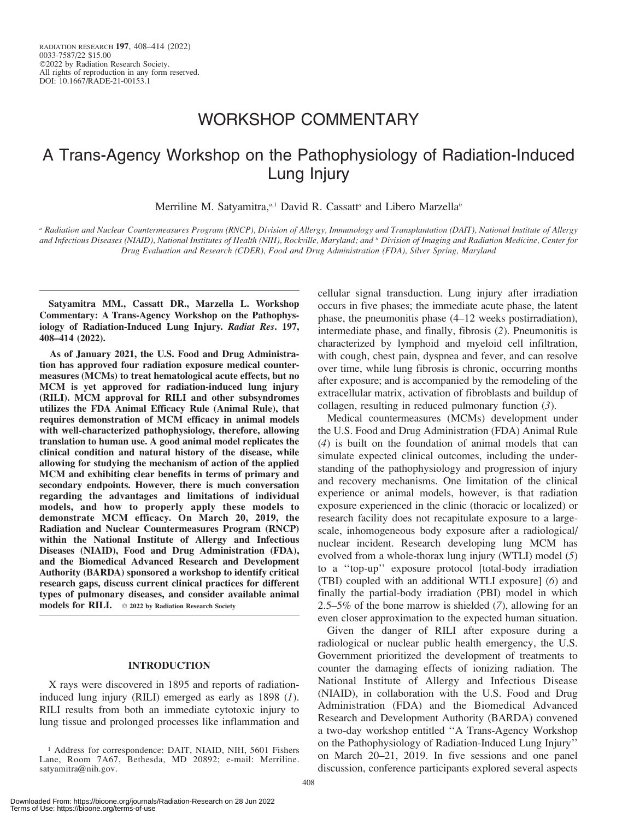# WORKSHOP COMMENTARY

# A Trans-Agency Workshop on the Pathophysiology of Radiation-Induced Lung Injury

Merriline M. Satyamitra,<sup>a,1</sup> David R. Cassatt<sup>a</sup> and Libero Marzella<sup>b</sup>

<sup>a</sup> Radiation and Nuclear Countermeasures Program (RNCP), Division of Allergy, Immunology and Transplantation (DAIT), National Institute of Allergy and Infectious Diseases (NIAID), National Institutes of Health (NIH), Rockville, Maryland; and <sup>b</sup> Division of Imaging and Radiation Medicine, Center for Drug Evaluation and Research (CDER), Food and Drug Administration (FDA), Silver Spring, Maryland

Satyamitra MM., Cassatt DR., Marzella L. Workshop Commentary: A Trans-Agency Workshop on the Pathophysiology of Radiation-Induced Lung Injury. Radiat Res. 197, 408–414 (2022).

As of January 2021, the U.S. Food and Drug Administration has approved four radiation exposure medical countermeasures (MCMs) to treat hematological acute effects, but no MCM is yet approved for radiation-induced lung injury (RILI). MCM approval for RILI and other subsyndromes utilizes the FDA Animal Efficacy Rule (Animal Rule), that requires demonstration of MCM efficacy in animal models with well-characterized pathophysiology, therefore, allowing translation to human use. A good animal model replicates the clinical condition and natural history of the disease, while allowing for studying the mechanism of action of the applied MCM and exhibiting clear benefits in terms of primary and secondary endpoints. However, there is much conversation regarding the advantages and limitations of individual models, and how to properly apply these models to demonstrate MCM efficacy. On March 20, 2019, the Radiation and Nuclear Countermeasures Program (RNCP) within the National Institute of Allergy and Infectious Diseases (NIAID), Food and Drug Administration (FDA), and the Biomedical Advanced Research and Development Authority (BARDA) sponsored a workshop to identify critical research gaps, discuss current clinical practices for different types of pulmonary diseases, and consider available animal models for RILI.  $\circ$  2022 by Radiation Research Society

# INTRODUCTION

X rays were discovered in 1895 and reports of radiationinduced lung injury (RILI) emerged as early as 1898 (1). RILI results from both an immediate cytotoxic injury to lung tissue and prolonged processes like inflammation and cellular signal transduction. Lung injury after irradiation occurs in five phases; the immediate acute phase, the latent phase, the pneumonitis phase (4–12 weeks postirradiation), intermediate phase, and finally, fibrosis (2). Pneumonitis is characterized by lymphoid and myeloid cell infiltration, with cough, chest pain, dyspnea and fever, and can resolve over time, while lung fibrosis is chronic, occurring months after exposure; and is accompanied by the remodeling of the extracellular matrix, activation of fibroblasts and buildup of collagen, resulting in reduced pulmonary function  $(3)$ .

Medical countermeasures (MCMs) development under the U.S. Food and Drug Administration (FDA) Animal Rule (4) is built on the foundation of animal models that can simulate expected clinical outcomes, including the understanding of the pathophysiology and progression of injury and recovery mechanisms. One limitation of the clinical experience or animal models, however, is that radiation exposure experienced in the clinic (thoracic or localized) or research facility does not recapitulate exposure to a largescale, inhomogeneous body exposure after a radiological/ nuclear incident. Research developing lung MCM has evolved from a whole-thorax lung injury (WTLI) model (5) to a ''top-up'' exposure protocol [total-body irradiation (TBI) coupled with an additional WTLI exposure] (6) and finally the partial-body irradiation (PBI) model in which 2.5–5% of the bone marrow is shielded (7), allowing for an even closer approximation to the expected human situation.

Given the danger of RILI after exposure during a radiological or nuclear public health emergency, the U.S. Government prioritized the development of treatments to counter the damaging effects of ionizing radiation. The National Institute of Allergy and Infectious Disease (NIAID), in collaboration with the U.S. Food and Drug Administration (FDA) and the Biomedical Advanced Research and Development Authority (BARDA) convened a two-day workshop entitled ''A Trans-Agency Workshop on the Pathophysiology of Radiation-Induced Lung Injury'' on March 20–21, 2019. In five sessions and one panel discussion, conference participants explored several aspects

<sup>&</sup>lt;sup>1</sup> Address for correspondence: DAIT, NIAID, NIH, 5601 Fishers Lane, Room 7A67, Bethesda, MD 20892; e-mail: Merriline. satyamitra@nih.gov.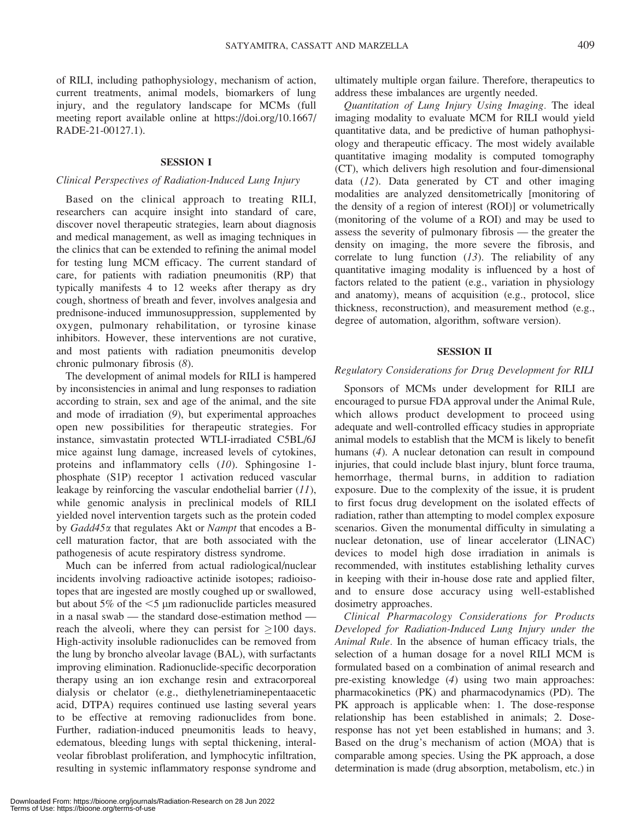of RILI, including pathophysiology, mechanism of action, current treatments, animal models, biomarkers of lung injury, and the regulatory landscape for MCMs (full meeting report available online at https://doi.org/10.1667/ RADE-21-00127.1).

# SESSION I

# Clinical Perspectives of Radiation-Induced Lung Injury

Based on the clinical approach to treating RILI, researchers can acquire insight into standard of care, discover novel therapeutic strategies, learn about diagnosis and medical management, as well as imaging techniques in the clinics that can be extended to refining the animal model for testing lung MCM efficacy. The current standard of care, for patients with radiation pneumonitis (RP) that typically manifests 4 to 12 weeks after therapy as dry cough, shortness of breath and fever, involves analgesia and prednisone-induced immunosuppression, supplemented by oxygen, pulmonary rehabilitation, or tyrosine kinase inhibitors. However, these interventions are not curative, and most patients with radiation pneumonitis develop chronic pulmonary fibrosis (8).

The development of animal models for RILI is hampered by inconsistencies in animal and lung responses to radiation according to strain, sex and age of the animal, and the site and mode of irradiation (9), but experimental approaches open new possibilities for therapeutic strategies. For instance, simvastatin protected WTLI-irradiated C5BL/6J mice against lung damage, increased levels of cytokines, proteins and inflammatory cells (10). Sphingosine 1 phosphate (S1P) receptor 1 activation reduced vascular leakage by reinforcing the vascular endothelial barrier  $(11)$ , while genomic analysis in preclinical models of RILI yielded novel intervention targets such as the protein coded by Gadd45a that regulates Akt or Nampt that encodes a Bcell maturation factor, that are both associated with the pathogenesis of acute respiratory distress syndrome.

Much can be inferred from actual radiological/nuclear incidents involving radioactive actinide isotopes; radioisotopes that are ingested are mostly coughed up or swallowed, but about 5% of the  $\leq$ 5 µm radionuclide particles measured in a nasal swab — the standard dose-estimation method reach the alveoli, where they can persist for  $\geq 100$  days. High-activity insoluble radionuclides can be removed from the lung by broncho alveolar lavage (BAL), with surfactants improving elimination. Radionuclide-specific decorporation therapy using an ion exchange resin and extracorporeal dialysis or chelator (e.g., diethylenetriaminepentaacetic acid, DTPA) requires continued use lasting several years to be effective at removing radionuclides from bone. Further, radiation-induced pneumonitis leads to heavy, edematous, bleeding lungs with septal thickening, interalveolar fibroblast proliferation, and lymphocytic infiltration, resulting in systemic inflammatory response syndrome and

ultimately multiple organ failure. Therefore, therapeutics to address these imbalances are urgently needed.

Quantitation of Lung Injury Using Imaging. The ideal imaging modality to evaluate MCM for RILI would yield quantitative data, and be predictive of human pathophysiology and therapeutic efficacy. The most widely available quantitative imaging modality is computed tomography (CT), which delivers high resolution and four-dimensional data  $(12)$ . Data generated by CT and other imaging modalities are analyzed densitometrically [monitoring of the density of a region of interest (ROI)] or volumetrically (monitoring of the volume of a ROI) and may be used to assess the severity of pulmonary fibrosis — the greater the density on imaging, the more severe the fibrosis, and correlate to lung function  $(13)$ . The reliability of any quantitative imaging modality is influenced by a host of factors related to the patient (e.g., variation in physiology and anatomy), means of acquisition (e.g., protocol, slice thickness, reconstruction), and measurement method (e.g., degree of automation, algorithm, software version).

# SESSION II

#### Regulatory Considerations for Drug Development for RILI

Sponsors of MCMs under development for RILI are encouraged to pursue FDA approval under the Animal Rule, which allows product development to proceed using adequate and well-controlled efficacy studies in appropriate animal models to establish that the MCM is likely to benefit humans (4). A nuclear detonation can result in compound injuries, that could include blast injury, blunt force trauma, hemorrhage, thermal burns, in addition to radiation exposure. Due to the complexity of the issue, it is prudent to first focus drug development on the isolated effects of radiation, rather than attempting to model complex exposure scenarios. Given the monumental difficulty in simulating a nuclear detonation, use of linear accelerator (LINAC) devices to model high dose irradiation in animals is recommended, with institutes establishing lethality curves in keeping with their in-house dose rate and applied filter, and to ensure dose accuracy using well-established dosimetry approaches.

Clinical Pharmacology Considerations for Products Developed for Radiation-Induced Lung Injury under the Animal Rule. In the absence of human efficacy trials, the selection of a human dosage for a novel RILI MCM is formulated based on a combination of animal research and pre-existing knowledge (4) using two main approaches: pharmacokinetics (PK) and pharmacodynamics (PD). The PK approach is applicable when: 1. The dose-response relationship has been established in animals; 2. Doseresponse has not yet been established in humans; and 3. Based on the drug's mechanism of action (MOA) that is comparable among species. Using the PK approach, a dose determination is made (drug absorption, metabolism, etc.) in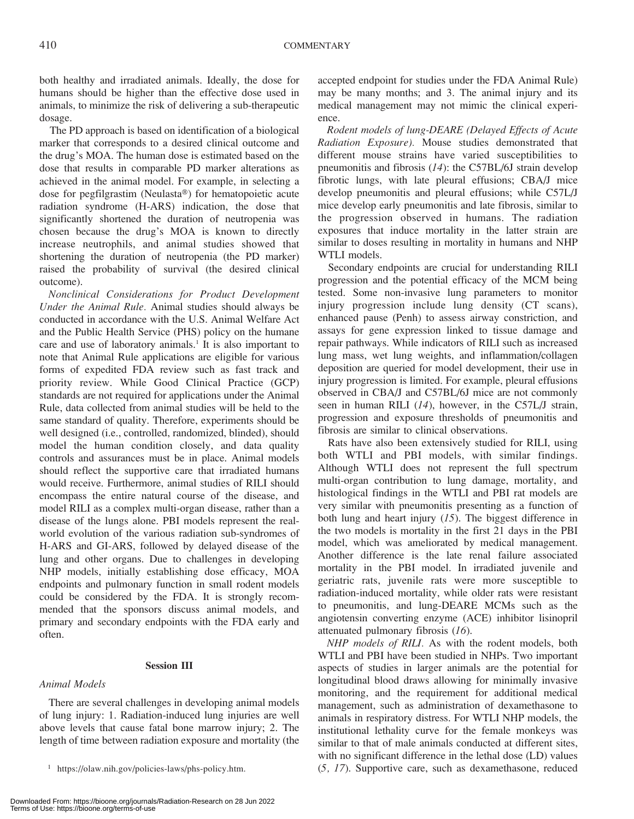both healthy and irradiated animals. Ideally, the dose for humans should be higher than the effective dose used in animals, to minimize the risk of delivering a sub-therapeutic dosage.

The PD approach is based on identification of a biological marker that corresponds to a desired clinical outcome and the drug's MOA. The human dose is estimated based on the dose that results in comparable PD marker alterations as achieved in the animal model. For example, in selecting a dose for pegfilgrastim (Neulasta®) for hematopoietic acute radiation syndrome (H-ARS) indication, the dose that significantly shortened the duration of neutropenia was chosen because the drug's MOA is known to directly increase neutrophils, and animal studies showed that shortening the duration of neutropenia (the PD marker) raised the probability of survival (the desired clinical outcome).

Nonclinical Considerations for Product Development Under the Animal Rule. Animal studies should always be conducted in accordance with the U.S. Animal Welfare Act and the Public Health Service (PHS) policy on the humane care and use of laboratory animals.<sup>1</sup> It is also important to note that Animal Rule applications are eligible for various forms of expedited FDA review such as fast track and priority review. While Good Clinical Practice (GCP) standards are not required for applications under the Animal Rule, data collected from animal studies will be held to the same standard of quality. Therefore, experiments should be well designed (i.e., controlled, randomized, blinded), should model the human condition closely, and data quality controls and assurances must be in place. Animal models should reflect the supportive care that irradiated humans would receive. Furthermore, animal studies of RILI should encompass the entire natural course of the disease, and model RILI as a complex multi-organ disease, rather than a disease of the lungs alone. PBI models represent the realworld evolution of the various radiation sub-syndromes of H-ARS and GI-ARS, followed by delayed disease of the lung and other organs. Due to challenges in developing NHP models, initially establishing dose efficacy, MOA endpoints and pulmonary function in small rodent models could be considered by the FDA. It is strongly recommended that the sponsors discuss animal models, and primary and secondary endpoints with the FDA early and often.

# Session III

# Animal Models

There are several challenges in developing animal models of lung injury: 1. Radiation-induced lung injuries are well above levels that cause fatal bone marrow injury; 2. The length of time between radiation exposure and mortality (the

model, which was ameliorated by medical management. Another difference is the late renal failure associated mortality in the PBI model. In irradiated juvenile and geriatric rats, juvenile rats were more susceptible to radiation-induced mortality, while older rats were resistant to pneumonitis, and lung-DEARE MCMs such as the angiotensin converting enzyme (ACE) inhibitor lisinopril attenuated pulmonary fibrosis (16).

NHP models of RILI. As with the rodent models, both WTLI and PBI have been studied in NHPs. Two important aspects of studies in larger animals are the potential for longitudinal blood draws allowing for minimally invasive monitoring, and the requirement for additional medical management, such as administration of dexamethasone to animals in respiratory distress. For WTLI NHP models, the institutional lethality curve for the female monkeys was similar to that of male animals conducted at different sites, with no significant difference in the lethal dose (LD) values <sup>1</sup> https://olaw.nih.gov/policies-laws/phs-policy.htm.  $(5, 17)$ . Supportive care, such as dexamethasone, reduced

accepted endpoint for studies under the FDA Animal Rule) may be many months; and 3. The animal injury and its medical management may not mimic the clinical experience.

Rodent models of lung-DEARE (Delayed Effects of Acute Radiation Exposure). Mouse studies demonstrated that different mouse strains have varied susceptibilities to pneumonitis and fibrosis (14): the C57BL/6J strain develop fibrotic lungs, with late pleural effusions; CBA/J mice develop pneumonitis and pleural effusions; while C57L/J mice develop early pneumonitis and late fibrosis, similar to the progression observed in humans. The radiation exposures that induce mortality in the latter strain are similar to doses resulting in mortality in humans and NHP WTLI models.

Secondary endpoints are crucial for understanding RILI progression and the potential efficacy of the MCM being tested. Some non-invasive lung parameters to monitor injury progression include lung density (CT scans), enhanced pause (Penh) to assess airway constriction, and assays for gene expression linked to tissue damage and repair pathways. While indicators of RILI such as increased lung mass, wet lung weights, and inflammation/collagen deposition are queried for model development, their use in injury progression is limited. For example, pleural effusions observed in CBA/J and C57BL/6J mice are not commonly seen in human RILI (14), however, in the C57L/J strain, progression and exposure thresholds of pneumonitis and fibrosis are similar to clinical observations.

Rats have also been extensively studied for RILI, using both WTLI and PBI models, with similar findings. Although WTLI does not represent the full spectrum multi-organ contribution to lung damage, mortality, and histological findings in the WTLI and PBI rat models are very similar with pneumonitis presenting as a function of both lung and heart injury  $(15)$ . The biggest difference in the two models is mortality in the first 21 days in the PBI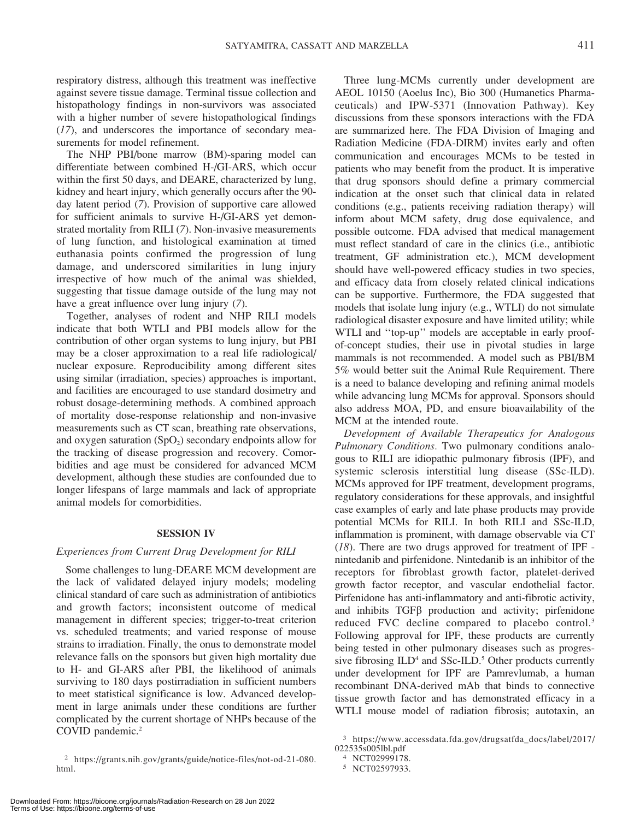respiratory distress, although this treatment was ineffective against severe tissue damage. Terminal tissue collection and histopathology findings in non-survivors was associated with a higher number of severe histopathological findings (17), and underscores the importance of secondary measurements for model refinement.

The NHP PBI/bone marrow (BM)-sparing model can differentiate between combined H-/GI-ARS, which occur within the first 50 days, and DEARE, characterized by lung, kidney and heart injury, which generally occurs after the 90 day latent period (7). Provision of supportive care allowed for sufficient animals to survive H-/GI-ARS yet demonstrated mortality from RILI (7). Non-invasive measurements of lung function, and histological examination at timed euthanasia points confirmed the progression of lung damage, and underscored similarities in lung injury irrespective of how much of the animal was shielded, suggesting that tissue damage outside of the lung may not have a great influence over lung injury (7).

Together, analyses of rodent and NHP RILI models indicate that both WTLI and PBI models allow for the contribution of other organ systems to lung injury, but PBI may be a closer approximation to a real life radiological/ nuclear exposure. Reproducibility among different sites using similar (irradiation, species) approaches is important, and facilities are encouraged to use standard dosimetry and robust dosage-determining methods. A combined approach of mortality dose-response relationship and non-invasive measurements such as CT scan, breathing rate observations, and oxygen saturation  $(SpO<sub>2</sub>)$  secondary endpoints allow for the tracking of disease progression and recovery. Comorbidities and age must be considered for advanced MCM development, although these studies are confounded due to longer lifespans of large mammals and lack of appropriate animal models for comorbidities.

#### SESSION IV

# Experiences from Current Drug Development for RILI

Some challenges to lung-DEARE MCM development are the lack of validated delayed injury models; modeling clinical standard of care such as administration of antibiotics and growth factors; inconsistent outcome of medical management in different species; trigger-to-treat criterion vs. scheduled treatments; and varied response of mouse strains to irradiation. Finally, the onus to demonstrate model relevance falls on the sponsors but given high mortality due to H- and GI-ARS after PBI, the likelihood of animals surviving to 180 days postirradiation in sufficient numbers to meet statistical significance is low. Advanced development in large animals under these conditions are further complicated by the current shortage of NHPs because of the COVID pandemic.<sup>2</sup>

Three lung-MCMs currently under development are AEOL 10150 (Aoelus Inc), Bio 300 (Humanetics Pharmaceuticals) and IPW-5371 (Innovation Pathway). Key discussions from these sponsors interactions with the FDA are summarized here. The FDA Division of Imaging and Radiation Medicine (FDA-DIRM) invites early and often communication and encourages MCMs to be tested in patients who may benefit from the product. It is imperative that drug sponsors should define a primary commercial indication at the onset such that clinical data in related conditions (e.g., patients receiving radiation therapy) will inform about MCM safety, drug dose equivalence, and possible outcome. FDA advised that medical management must reflect standard of care in the clinics (i.e., antibiotic treatment, GF administration etc.), MCM development should have well-powered efficacy studies in two species, and efficacy data from closely related clinical indications can be supportive. Furthermore, the FDA suggested that models that isolate lung injury (e.g., WTLI) do not simulate radiological disaster exposure and have limited utility; while WTLI and ''top-up'' models are acceptable in early proofof-concept studies, their use in pivotal studies in large mammals is not recommended. A model such as PBI/BM 5% would better suit the Animal Rule Requirement. There is a need to balance developing and refining animal models while advancing lung MCMs for approval. Sponsors should also address MOA, PD, and ensure bioavailability of the MCM at the intended route.

Development of Available Therapeutics for Analogous Pulmonary Conditions. Two pulmonary conditions analogous to RILI are idiopathic pulmonary fibrosis (IPF), and systemic sclerosis interstitial lung disease (SSc-ILD). MCMs approved for IPF treatment, development programs, regulatory considerations for these approvals, and insightful case examples of early and late phase products may provide potential MCMs for RILI. In both RILI and SSc-ILD, inflammation is prominent, with damage observable via CT (18). There are two drugs approved for treatment of IPF nintedanib and pirfenidone. Nintedanib is an inhibitor of the receptors for fibroblast growth factor, platelet-derived growth factor receptor, and vascular endothelial factor. Pirfenidone has anti-inflammatory and anti-fibrotic activity, and inhibits  $TGF\beta$  production and activity; pirfenidone reduced FVC decline compared to placebo control.<sup>3</sup> Following approval for IPF, these products are currently being tested in other pulmonary diseases such as progressive fibrosing  $ILD<sup>4</sup>$  and SSc-ILD.<sup>5</sup> Other products currently under development for IPF are Pamrevlumab, a human recombinant DNA-derived mAb that binds to connective tissue growth factor and has demonstrated efficacy in a WTLI mouse model of radiation fibrosis; autotaxin, an

<sup>2</sup> https://grants.nih.gov/grants/guide/notice-files/not-od-21-080. html.

<sup>3</sup> https://www.accessdata.fda.gov/drugsatfda\_docs/label/2017/ 022535s005lbl.pdf

<sup>4</sup> NCT02999178.

<sup>5</sup> NCT02597933.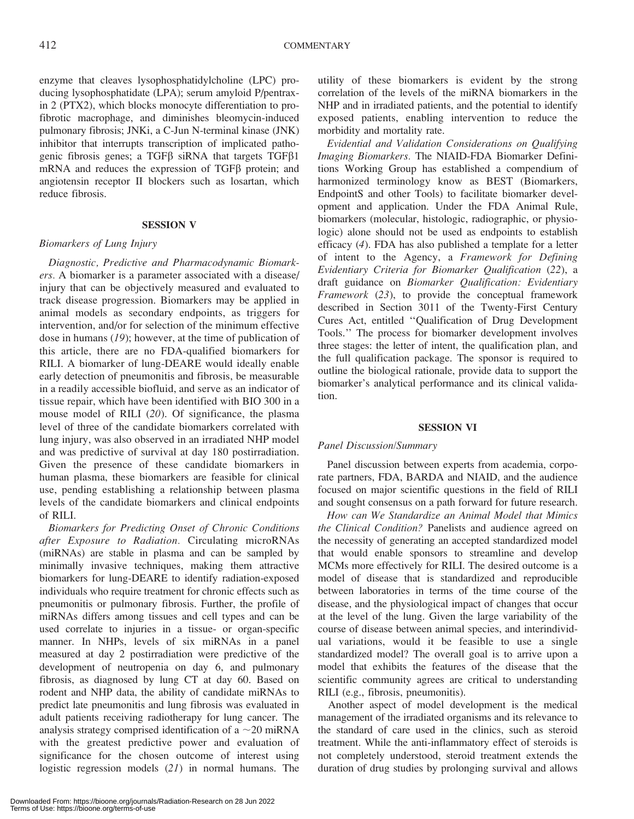enzyme that cleaves lysophosphatidylcholine (LPC) producing lysophosphatidate (LPA); serum amyloid P/pentraxin 2 (PTX2), which blocks monocyte differentiation to profibrotic macrophage, and diminishes bleomycin-induced pulmonary fibrosis; JNKi, a C-Jun N-terminal kinase (JNK) inhibitor that interrupts transcription of implicated pathogenic fibrosis genes; a TGF $\beta$  siRNA that targets TGF $\beta$ 1 mRNA and reduces the expression of TGFB protein; and angiotensin receptor II blockers such as losartan, which reduce fibrosis.

#### SESSION V

## Biomarkers of Lung Injury

Diagnostic, Predictive and Pharmacodynamic Biomarkers. A biomarker is a parameter associated with a disease/ injury that can be objectively measured and evaluated to track disease progression. Biomarkers may be applied in animal models as secondary endpoints, as triggers for intervention, and/or for selection of the minimum effective dose in humans (19); however, at the time of publication of this article, there are no FDA-qualified biomarkers for RILI. A biomarker of lung-DEARE would ideally enable early detection of pneumonitis and fibrosis, be measurable in a readily accessible biofluid, and serve as an indicator of tissue repair, which have been identified with BIO 300 in a mouse model of RILI (20). Of significance, the plasma level of three of the candidate biomarkers correlated with lung injury, was also observed in an irradiated NHP model and was predictive of survival at day 180 postirradiation. Given the presence of these candidate biomarkers in human plasma, these biomarkers are feasible for clinical use, pending establishing a relationship between plasma levels of the candidate biomarkers and clinical endpoints of RILI.

Biomarkers for Predicting Onset of Chronic Conditions after Exposure to Radiation. Circulating microRNAs (miRNAs) are stable in plasma and can be sampled by minimally invasive techniques, making them attractive biomarkers for lung-DEARE to identify radiation-exposed individuals who require treatment for chronic effects such as pneumonitis or pulmonary fibrosis. Further, the profile of miRNAs differs among tissues and cell types and can be used correlate to injuries in a tissue- or organ-specific manner. In NHPs, levels of six miRNAs in a panel measured at day 2 postirradiation were predictive of the development of neutropenia on day 6, and pulmonary fibrosis, as diagnosed by lung CT at day 60. Based on rodent and NHP data, the ability of candidate miRNAs to predict late pneumonitis and lung fibrosis was evaluated in adult patients receiving radiotherapy for lung cancer. The analysis strategy comprised identification of a  $\sim$ 20 miRNA with the greatest predictive power and evaluation of significance for the chosen outcome of interest using logistic regression models (21) in normal humans. The

utility of these biomarkers is evident by the strong correlation of the levels of the miRNA biomarkers in the NHP and in irradiated patients, and the potential to identify exposed patients, enabling intervention to reduce the morbidity and mortality rate.

Evidential and Validation Considerations on Qualifying Imaging Biomarkers. The NIAID-FDA Biomarker Definitions Working Group has established a compendium of harmonized terminology know as BEST (Biomarkers, EndpointS and other Tools) to facilitate biomarker development and application. Under the FDA Animal Rule, biomarkers (molecular, histologic, radiographic, or physiologic) alone should not be used as endpoints to establish efficacy (4). FDA has also published a template for a letter of intent to the Agency, a Framework for Defining Evidentiary Criteria for Biomarker Qualification (22), a draft guidance on Biomarker Qualification: Evidentiary Framework (23), to provide the conceptual framework described in Section 3011 of the Twenty-First Century Cures Act, entitled ''Qualification of Drug Development Tools.'' The process for biomarker development involves three stages: the letter of intent, the qualification plan, and the full qualification package. The sponsor is required to outline the biological rationale, provide data to support the biomarker's analytical performance and its clinical validation.

### SESSION VI

# Panel Discussion/Summary

Panel discussion between experts from academia, corporate partners, FDA, BARDA and NIAID, and the audience focused on major scientific questions in the field of RILI and sought consensus on a path forward for future research.

How can We Standardize an Animal Model that Mimics the Clinical Condition? Panelists and audience agreed on the necessity of generating an accepted standardized model that would enable sponsors to streamline and develop MCMs more effectively for RILI. The desired outcome is a model of disease that is standardized and reproducible between laboratories in terms of the time course of the disease, and the physiological impact of changes that occur at the level of the lung. Given the large variability of the course of disease between animal species, and interindividual variations, would it be feasible to use a single standardized model? The overall goal is to arrive upon a model that exhibits the features of the disease that the scientific community agrees are critical to understanding RILI (e.g., fibrosis, pneumonitis).

Another aspect of model development is the medical management of the irradiated organisms and its relevance to the standard of care used in the clinics, such as steroid treatment. While the anti-inflammatory effect of steroids is not completely understood, steroid treatment extends the duration of drug studies by prolonging survival and allows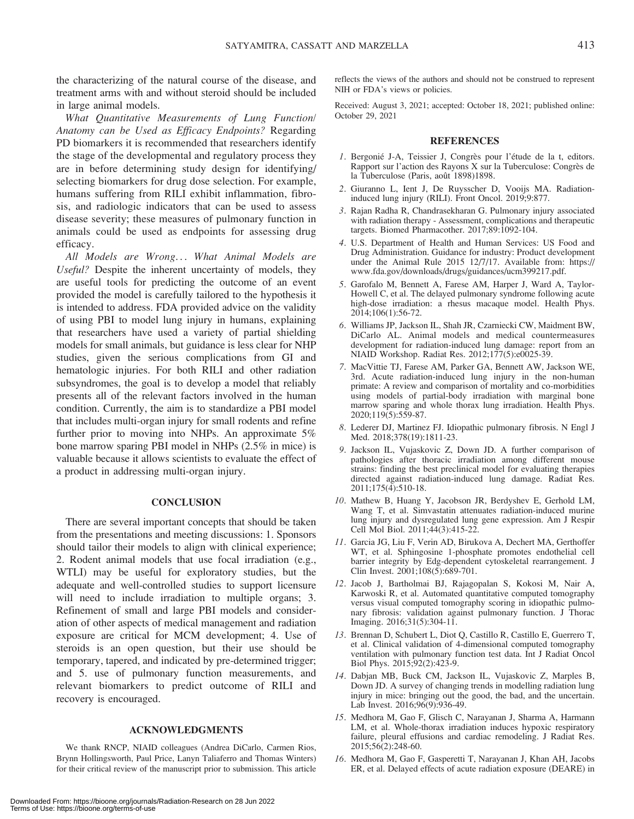the characterizing of the natural course of the disease, and treatment arms with and without steroid should be included in large animal models.

What Quantitative Measurements of Lung Function/ Anatomy can be Used as Efficacy Endpoints? Regarding PD biomarkers it is recommended that researchers identify the stage of the developmental and regulatory process they are in before determining study design for identifying/ selecting biomarkers for drug dose selection. For example, humans suffering from RILI exhibit inflammation, fibrosis, and radiologic indicators that can be used to assess disease severity; these measures of pulmonary function in animals could be used as endpoints for assessing drug efficacy.

All Models are Wrong... What Animal Models are Useful? Despite the inherent uncertainty of models, they are useful tools for predicting the outcome of an event provided the model is carefully tailored to the hypothesis it is intended to address. FDA provided advice on the validity of using PBI to model lung injury in humans, explaining that researchers have used a variety of partial shielding models for small animals, but guidance is less clear for NHP studies, given the serious complications from GI and hematologic injuries. For both RILI and other radiation subsyndromes, the goal is to develop a model that reliably presents all of the relevant factors involved in the human condition. Currently, the aim is to standardize a PBI model that includes multi-organ injury for small rodents and refine further prior to moving into NHPs. An approximate 5% bone marrow sparing PBI model in NHPs (2.5% in mice) is valuable because it allows scientists to evaluate the effect of a product in addressing multi-organ injury.

#### **CONCLUSION**

There are several important concepts that should be taken from the presentations and meeting discussions: 1. Sponsors should tailor their models to align with clinical experience; 2. Rodent animal models that use focal irradiation (e.g., WTLI) may be useful for exploratory studies, but the adequate and well-controlled studies to support licensure will need to include irradiation to multiple organs; 3. Refinement of small and large PBI models and consideration of other aspects of medical management and radiation exposure are critical for MCM development; 4. Use of steroids is an open question, but their use should be temporary, tapered, and indicated by pre-determined trigger; and 5. use of pulmonary function measurements, and relevant biomarkers to predict outcome of RILI and recovery is encouraged.

#### ACKNOWLEDGMENTS

We thank RNCP, NIAID colleagues (Andrea DiCarlo, Carmen Rios, Brynn Hollingsworth, Paul Price, Lanyn Taliaferro and Thomas Winters) for their critical review of the manuscript prior to submission. This article reflects the views of the authors and should not be construed to represent NIH or FDA's views or policies.

Received: August 3, 2021; accepted: October 18, 2021; published online: October 29, 2021

#### REFERENCES

- 1. Bergonié J-A, Teissier J, Congrès pour l'étude de la t, editors. Rapport sur l'action des Rayons X sur la Tuberculose: Congrès de la Tuberculose (Paris, août 1898)1898.
- 2. Giuranno L, Ient J, De Ruysscher D, Vooijs MA. Radiationinduced lung injury (RILI). Front Oncol. 2019;9:877.
- 3. Rajan Radha R, Chandrasekharan G. Pulmonary injury associated with radiation therapy - Assessment, complications and therapeutic targets. Biomed Pharmacother. 2017;89:1092-104.
- 4. U.S. Department of Health and Human Services: US Food and Drug Administration. Guidance for industry: Product development under the Animal Rule 2015 12/7/17. Available from: https:// www.fda.gov/downloads/drugs/guidances/ucm399217.pdf.
- 5. Garofalo M, Bennett A, Farese AM, Harper J, Ward A, Taylor-Howell C, et al. The delayed pulmonary syndrome following acute high-dose irradiation: a rhesus macaque model. Health Phys. 2014;106(1):56-72.
- 6. Williams JP, Jackson IL, Shah JR, Czarniecki CW, Maidment BW, DiCarlo AL. Animal models and medical countermeasures development for radiation-induced lung damage: report from an NIAID Workshop. Radiat Res. 2012;177(5):e0025-39.
- 7. MacVittie TJ, Farese AM, Parker GA, Bennett AW, Jackson WE, 3rd. Acute radiation-induced lung injury in the non-human primate: A review and comparison of mortality and co-morbidities using models of partial-body irradiation with marginal bone marrow sparing and whole thorax lung irradiation. Health Phys. 2020;119(5):559-87.
- 8. Lederer DJ, Martinez FJ. Idiopathic pulmonary fibrosis. N Engl J Med. 2018;378(19):1811-23.
- 9. Jackson IL, Vujaskovic Z, Down JD. A further comparison of pathologies after thoracic irradiation among different mouse strains: finding the best preclinical model for evaluating therapies directed against radiation-induced lung damage. Radiat Res. 2011;175(4):510-18.
- 10. Mathew B, Huang Y, Jacobson JR, Berdyshev E, Gerhold LM, Wang T, et al. Simvastatin attenuates radiation-induced murine lung injury and dysregulated lung gene expression. Am J Respir Cell Mol Biol. 2011;44(3):415-22.
- 11. Garcia JG, Liu F, Verin AD, Birukova A, Dechert MA, Gerthoffer WT, et al. Sphingosine 1-phosphate promotes endothelial cell barrier integrity by Edg-dependent cytoskeletal rearrangement. J Clin Invest. 2001;108(5):689-701.
- 12. Jacob J, Bartholmai BJ, Rajagopalan S, Kokosi M, Nair A, Karwoski R, et al. Automated quantitative computed tomography versus visual computed tomography scoring in idiopathic pulmonary fibrosis: validation against pulmonary function. J Thorac Imaging. 2016;31(5):304-11.
- 13. Brennan D, Schubert L, Diot Q, Castillo R, Castillo E, Guerrero T, et al. Clinical validation of 4-dimensional computed tomography ventilation with pulmonary function test data. Int J Radiat Oncol Biol Phys. 2015;92(2):423-9.
- 14. Dabjan MB, Buck CM, Jackson IL, Vujaskovic Z, Marples B, Down JD. A survey of changing trends in modelling radiation lung injury in mice: bringing out the good, the bad, and the uncertain. Lab Invest. 2016;96(9):936-49.
- 15. Medhora M, Gao F, Glisch C, Narayanan J, Sharma A, Harmann LM, et al. Whole-thorax irradiation induces hypoxic respiratory failure, pleural effusions and cardiac remodeling. J Radiat Res. 2015;56(2):248-60.
- 16. Medhora M, Gao F, Gasperetti T, Narayanan J, Khan AH, Jacobs ER, et al. Delayed effects of acute radiation exposure (DEARE) in